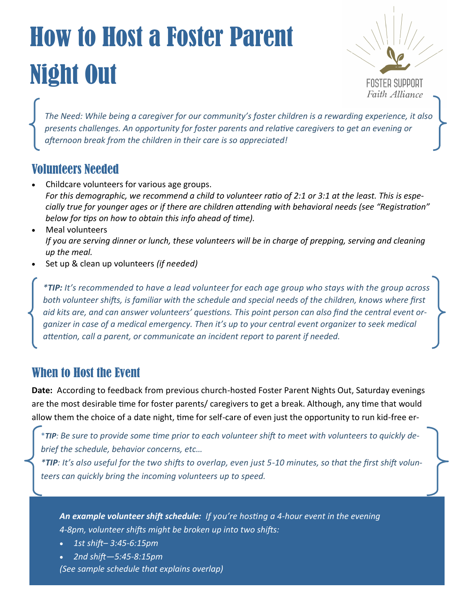# How to Host a Foster Parent Night Out



*The Need: While being a caregiver for our community's foster children is a rewarding experience, it also presents challenges. An opportunity for foster parents and relative caregivers to get an evening or afternoon break from the children in their care is so appreciated!* 

## Volunteers Needed

- Childcare volunteers for various age groups. *For this demographic, we recommend a child to volunteer ratio of 2:1 or 3:1 at the least. This is especially true for younger ages or if there are children attending with behavioral needs (see "Registration" below for tips on how to obtain this info ahead of time).*
- Meal volunteers *If you are serving dinner or lunch, these volunteers will be in charge of prepping, serving and cleaning up the meal.*
- Set up & clean up volunteers *(if needed)*

*\*TIP: It's recommended to have a lead volunteer for each age group who stays with the group across both volunteer shifts, is familiar with the schedule and special needs of the children, knows where first aid kits are, and can answer volunteers' questions. This point person can also find the central event organizer in case of a medical emergency. Then it's up to your central event organizer to seek medical attention, call a parent, or communicate an incident report to parent if needed.*

## When to Host the Event

**Date:** According to feedback from previous church-hosted Foster Parent Nights Out, Saturday evenings are the most desirable time for foster parents/ caregivers to get a break. Although, any time that would allow them the choice of a date night, time for self-care of even just the opportunity to run kid-free er-

\**TIP: Be sure to provide some time prior to each volunteer shift to meet with volunteers to quickly debrief the schedule, behavior concerns, etc…* 

*\*TIP: It's also useful for the two shifts to overlap, even just 5-10 minutes, so that the first shift volunteers can quickly bring the incoming volunteers up to speed.*

*An example volunteer shift schedule: If you're hosting a 4-hour event in the evening 4-8pm, volunteer shifts might be broken up into two shifts:*

- *1st shift– 3:45-6:15pm*
- *2nd shift—5:45-8:15pm*

*(See sample schedule that explains overlap)*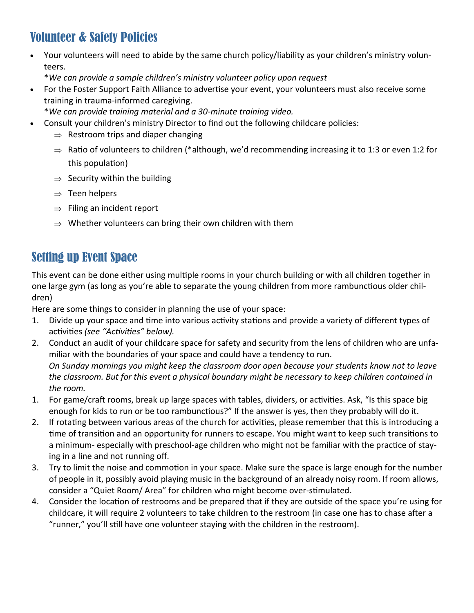## Volunteer & Safety Policies

 Your volunteers will need to abide by the same church policy/liability as your children's ministry volunteers.

\**We can provide a sample children's ministry volunteer policy upon request*

 For the Foster Support Faith Alliance to advertise your event, your volunteers must also receive some training in trauma-informed caregiving.

\**We can provide training material and a 30-minute training video.*

- Consult your children's ministry Director to find out the following childcare policies:
	- $\Rightarrow$  Restroom trips and diaper changing
	- $\Rightarrow$  Ratio of volunteers to children (\*although, we'd recommending increasing it to 1:3 or even 1:2 for this population)
	- $\Rightarrow$  Security within the building
	- $\Rightarrow$  Teen helpers
	- $\Rightarrow$  Filing an incident report
	- $\Rightarrow$  Whether volunteers can bring their own children with them

## Setting up Event Space

This event can be done either using multiple rooms in your church building or with all children together in one large gym (as long as you're able to separate the young children from more rambunctious older children)

Here are some things to consider in planning the use of your space:

- 1. Divide up your space and time into various activity stations and provide a variety of different types of activities *(see "Activities" below).*
- 2. Conduct an audit of your childcare space for safety and security from the lens of children who are unfamiliar with the boundaries of your space and could have a tendency to run. *On Sunday mornings you might keep the classroom door open because your students know not to leave the classroom. But for this event a physical boundary might be necessary to keep children contained in the room.*
- 1. For game/craft rooms, break up large spaces with tables, dividers, or activities. Ask, "Is this space big enough for kids to run or be too rambunctious?" If the answer is yes, then they probably will do it.
- 2. If rotating between various areas of the church for activities, please remember that this is introducing a time of transition and an opportunity for runners to escape. You might want to keep such transitions to a minimum- especially with preschool-age children who might not be familiar with the practice of staying in a line and not running off.
- 3. Try to limit the noise and commotion in your space. Make sure the space is large enough for the number of people in it, possibly avoid playing music in the background of an already noisy room. If room allows, consider a "Quiet Room/ Area" for children who might become over-stimulated.
- 4. Consider the location of restrooms and be prepared that if they are outside of the space you're using for childcare, it will require 2 volunteers to take children to the restroom (in case one has to chase after a "runner," you'll still have one volunteer staying with the children in the restroom).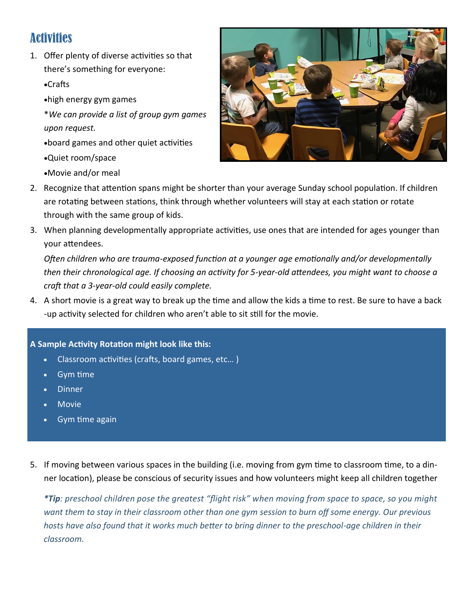## **Activities**

1. Offer plenty of diverse activities so that there's something for everyone:

Crafts

- high energy gym games
- \**We can provide a list of group gym games upon request.*
- board games and other quiet activities
- Quiet room/space
- Movie and/or meal



- 2. Recognize that attention spans might be shorter than your average Sunday school population. If children are rotating between stations, think through whether volunteers will stay at each station or rotate through with the same group of kids.
- 3. When planning developmentally appropriate activities, use ones that are intended for ages younger than your attendees.

*Often children who are trauma-exposed function at a younger age emotionally and/or developmentally then their chronological age. If choosing an activity for 5-year-old attendees, you might want to choose a craft that a 3-year-old could easily complete.*

4. A short movie is a great way to break up the time and allow the kids a time to rest. Be sure to have a back -up activity selected for children who aren't able to sit still for the movie.

#### **A Sample Activity Rotation might look like this:**

- Classroom activities (crafts, board games, etc… )
- Gym time
- Dinner
- Movie
- Gym time again
- 5. If moving between various spaces in the building (i.e. moving from gym time to classroom time, to a dinner location), please be conscious of security issues and how volunteers might keep all children together

*\*Tip: preschool children pose the greatest "flight risk" when moving from space to space, so you might want them to stay in their classroom other than one gym session to burn off some energy. Our previous hosts have also found that it works much better to bring dinner to the preschool-age children in their classroom.*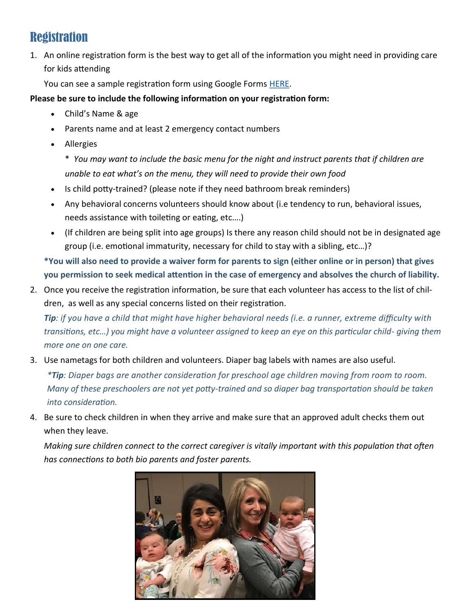## **Registration**

1. An online registration form is the best way to get all of the information you might need in providing care for kids attending

You can see a sample registration form using Google Forms [HERE.](https://docs.google.com/forms/d/18muUPAoTDL-7diJft0iOdZ7jvtwyCnn3FVS_9ns03Rw/edit)

### **Please be sure to include the following information on your registration form:**

- Child's Name & age
- Parents name and at least 2 emergency contact numbers
- Allergies

\* *You may want to include the basic menu for the night and instruct parents that if children are unable to eat what's on the menu, they will need to provide their own food*

- Is child potty-trained? (please note if they need bathroom break reminders)
- Any behavioral concerns volunteers should know about (i.e tendency to run, behavioral issues, needs assistance with toileting or eating, etc….)
- (If children are being split into age groups) Is there any reason child should not be in designated age group (i.e. emotional immaturity, necessary for child to stay with a sibling, etc…)?

**\*You will also need to provide a waiver form for parents to sign (either online or in person) that gives you permission to seek medical attention in the case of emergency and absolves the church of liability.**

2. Once you receive the registration information, be sure that each volunteer has access to the list of children, as well as any special concerns listed on their registration.

*Tip: if you have a child that might have higher behavioral needs (i.e. a runner, extreme difficulty with transitions, etc…) you might have a volunteer assigned to keep an eye on this particular child- giving them more one on one care.*

3. Use nametags for both children and volunteers. Diaper bag labels with names are also useful.

*\*Tip: Diaper bags are another consideration for preschool age children moving from room to room. Many of these preschoolers are not yet potty-trained and so diaper bag transportation should be taken into consideration.*

4. Be sure to check children in when they arrive and make sure that an approved adult checks them out when they leave.

*Making sure children connect to the correct caregiver is vitally important with this population that often has connections to both bio parents and foster parents.*

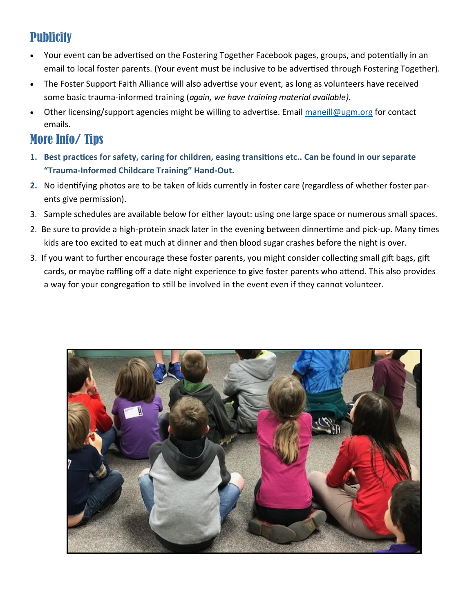## **Publicity**

- Your event can be advertised on the Fostering Together Facebook pages, groups, and potentially in an email to local foster parents. (Your event must be inclusive to be advertised through Fostering Together).
- The Foster Support Faith Alliance will also advertise your event, as long as volunteers have received some basic trauma-informed training (*again, we have training material available).*
- $\bullet$  Other licensing/support agencies might be willing to advertise. Email [maneill@ugm.org](mailto:maneill@ugm.org) for contact emails.

## More Info/ Tips

- **1. Best practices for safety, caring for children, easing transitions etc.. Can be found in our separate "Trauma-Informed Childcare Training" Hand-Out.**
- **2.** No identifying photos are to be taken of kids currently in foster care (regardless of whether foster parents give permission).
- 3. Sample schedules are available below for either layout: using one large space or numerous small spaces.
- 2. Be sure to provide a high-protein snack later in the evening between dinnertime and pick-up. Many times kids are too excited to eat much at dinner and then blood sugar crashes before the night is over.
- 3. If you want to further encourage these foster parents, you might consider collecting small gift bags, gift cards, or maybe raffling off a date night experience to give foster parents who attend. This also provides a way for your congregation to still be involved in the event even if they cannot volunteer.